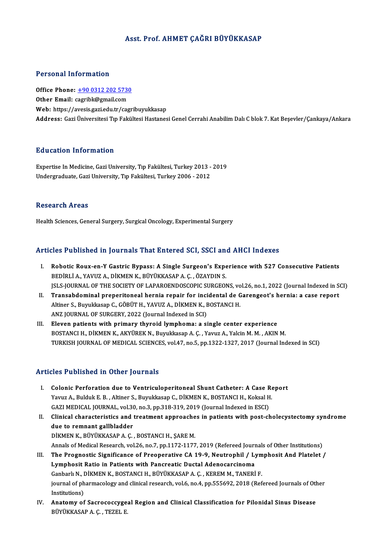# Asst. Prof. AHMET ÇAĞRI BÜYÜKKASAP

#### Personal Information

Personal Information<br>Office Phone: <u>+90 0312 202 5730</u><br>Other Email: carrible@rmail.com office Phone: <u>+90 0312 202 5730</u><br>Other Email: [cagribk@gmail.com](tel:+90 0312 202 5730)<br>Web: https://avesis.com/adu.tr/com Other Email: cagribk@gmail.com<br>Web: https://avesis.gazi.edu.tr/cagribuyukkasap Address: Gazi Üniversitesi Tıp Fakültesi Hastanesi Genel Cerrahi Anabilim Dalı C blok 7. Kat Besevler/Cankaya/Ankara

### Education Information

Education Information<br>Expertise In Medicine, Gazi University, Tıp Fakültesi, Turkey 2013 - 2019<br>Undergraduate Cari University, Tıp Fakültesi, Turkey 2006 - 2012 200600011 11101 1110011<br>Expertise In Medicine, Gazi University, Tıp Fakültesi, Turkey 2013 -<br>Undergraduate, Gazi University, Tıp Fakültesi, Turkey 2006 - 2012 Undergraduate, Gazi University, Tıp Fakültesi, Turkey 2006 - 2012<br>Research Areas

Health Sciences, General Surgery, Surgical Oncology, Experimental Surgery

### Articles Published in Journals That Entered SCI, SSCI and AHCI Indexes

- I. Robotic Roux-en-Y Gastric Bypass: A Single Surgeon's Experience with 527 Consecutive Patients<br>I. Robotic Roux-en-Y Gastric Bypass: A Single Surgeon's Experience with 527 Consecutive Patients<br>REDIRLIA VAWIZA DIKMENIX PIW Robotic Roux-en-Y Gastric Bypass: A Single Surgeon's Expe<br>BEDİRLİ A., YAVUZ A., DİKMEN K., BÜYÜKKASAP A. Ç. , ÖZAYDIN S.<br>ISLS JOUPMAL OF THE SOCIETY OF LABAROFNDOSCOPIC SURCEOL Robotic Roux-en-Y Gastric Bypass: A Single Surgeon's Experience with 527 Consecutive Patients<br>BEDİRLİ A., YAVUZ A., DİKMEN K., BÜYÜKKASAP A. Ç. , ÖZAYDIN S.<br>JSLS-JOURNAL OF THE SOCIETY OF LAPAROENDOSCOPIC SURGEONS, vol.26, BEDİRLİ A., YAVUZ A., DİKMEN K., BÜYÜKKASAP A. Ç. , ÖZAYDIN S.<br>ISLS-JOURNAL OF THE SOCIETY OF LAPAROENDOSCOPIC SURGEONS, vol.26, no.1, 2022 (Journal Indexed in S.<br>II. Transabdominal preperitoneal hernia repair for inci
- JSLS-JOURNAL OF THE SOCIETY OF LAPAROENDOSCOPIC SURGEONS, vo<br>Transabdominal preperitoneal hernia repair for incidental de G<br>Altiner S., Buyukkasap C., GÖBÜT H., YAVUZ A., DİKMEN K., BOSTANCI H.<br>ANZ JOURNAL OF SUBCERY 2022 Transabdominal preperitoneal hernia repair for inci<br>Altiner S., Buyukkasap C., GÖBÜT H., YAVUZ A., DİKMEN K., E<br>ANZ JOURNAL OF SURGERY, 2022 (Journal Indexed in SCI)<br>Flaven nationts with nrimary thyroid lymnhoma: a si Altiner S., Buyukkasap C., GÖBÜT H., YAVUZ A., DİKMEN K., BOSTANCI H.<br>ANZ JOURNAL OF SURGERY, 2022 (Journal Indexed in SCI)<br>III. Eleven patients with primary thyroid lymphoma: a single center experience<br>POSTANCI H. DİKMEN
- ANZ JOURNAL OF SURGERY, 2022 (Journal Indexed in SCI)<br>Eleven patients with primary thyroid lymphoma: a single center experience<br>BOSTANCI H., DİKMEN K., AKYÜREK N., Buyukkasap A.Ç. , Yavuz A., Yalcin M. M. , AKIN M.<br>TURKISH BOSTANCI H., DİKMEN K., AKYÜREK N., Buyukkasap A. Ç. , Yavuz A., Yalcin M. M. , AKIN M.<br>TURKISH JOURNAL OF MEDICAL SCIENCES, vol.47, no.5, pp.1322-1327, 2017 (Journal Indexed in SCI)

#### Articles Published in Other Journals

- Tricles Published in Other Journals<br>I. Colonic Perforation due to Ventriculoperitoneal Shunt Catheter: A Case Report<br>Verus A Bulduk E.B. Altiner S. Buvuldreen C. DİKMEN K. BOSTANCLU, Kelral H. Y.C. TUMMON IN OTHET JOUTHUM<br>Colonic Perforation due to Ventriculoperitoneal Shunt Catheter: A Case Re<br>Yavuz A., Bulduk E. B. , Altiner S., Buyukkasap C., DİKMEN K., BOSTANCI H., Koksal H.<br>CAZI MEDICAL JOUPNAL vol 20. no 2 Colonic Perforation due to Ventriculoperitoneal Shunt Catheter: A Case R<br>Yavuz A., Bulduk E. B. , Altiner S., Buyukkasap C., DİKMEN K., BOSTANCI H., Koksal H<br>GAZI MEDICAL JOURNAL, vol.30, no.3, pp.318-319, 2019 (Journal In Yavuz A., Bulduk E. B. , Altiner S., Buyukkasap C., DİKMEN K., BOSTANCI H., Koksal H.<br>GAZI MEDICAL JOURNAL, vol.30, no.3, pp.318-319, 2019 (Journal Indexed in ESCI)<br>II. Clinical characteristics and treatment approaches in
- GAZI MEDICAL JOURNAL, vol.30<br>Clinical characteristics and<br>due to remnant gallbladder<br>DiVMEN V. PÜVÜVVASARA C due to remnant gallbladder<br>DİKMEN K., BÜYÜKKASAP A. Ç. , BOSTANCI H., ŞARE M. due to remnant gallbladder<br>DİKMEN K., BÜYÜKKASAP A. Ç. , BOSTANCI H., ŞARE M.<br>Annals of Medical Research, vol.26, no.7, pp.1172-1177, 2019 (Refereed Journals of Other Institutions)<br>The Pregnestic Significance of Preenerati DİKMEN K., BÜYÜKKASAP A. Ç. , BOSTANCI H., ŞARE M.<br>Annals of Medical Research, vol.26, no.7, pp.1172-1177, 2019 (Refereed Journals of Other Institutions)<br>III. The Prognostic Significance of Preoperative CA 19-9, Neutrophil Annals of Medical Research, vol.26, no.7, pp.1172-1177, 2019 (Refereed Journ<br>The Prognostic Significance of Preoperative CA 19-9, Neutrophil / Ly<br>Lymphosit Ratio in Patients with Pancreatic Ductal Adenocarcinoma<br>Canbark N. III. The Prognostic Significance of Preoperative CA 19-9, Neutrophil / Lymphosit And Platelet /<br>Lymphosit Ratio in Patients with Pancreatic Ductal Adenocarcinoma
- journal of pharmacology and clinical research, vol.6, no.4, pp.555692, 2018 (Refereed Journals of Other<br>Institutions) Ganbarlı N., DİKMEN K., BOSTANCI H., BÜYÜKKASAP A. Ç., KEREM M., TANERİ F. Journal of pharmacology and clinical research, vol.6, no.4, pp.555692, 2018 (Refereed Journals of Other Institutions)<br>IV. Anatomy of Sacrococcygeal Region and Clinical Classification for Pilonidal Sinus Disease<br>PUVILYASARA
- Institutions)<br><mark>Anatomy of Sacrococcyge</mark>.<br>BÜYÜKKASAP A. Ç. , TEZEL E.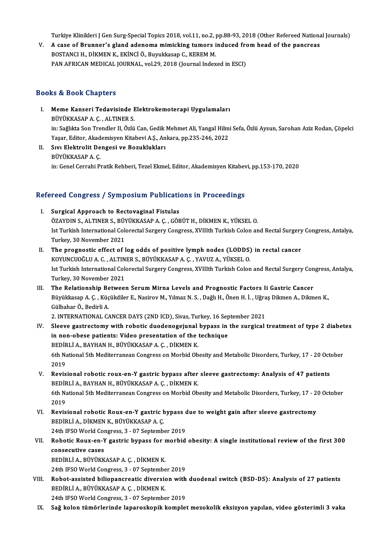Turkiye Klinikleri J Gen Surg-Special Topics 2018, vol.11, no.2, pp.88-93, 2018 (Other Refereed National Journals)<br>A sase of Prunner's gland adapeme mimieling tumors indused from head of the panareas.

Turkiye Klinikleri J Gen Surg-Special Topics 2018, vol.11, no.2, pp.88-93, 2018 (Other Refereed Nationa<br>V. A case of Brunner's gland adenoma mimicking tumors induced from head of the pancreas Turkiye Klinikleri J Gen Surg-Special Topics 2018, vol.11, no.2, <sub>J</sub><br>A case of Brunner's gland adenoma mimicking tumors i<br>BOSTANCI H., DİKMEN K., EKİNCİ Ö., Buyukkasap C., KEREM M.<br>BAN AEBICAN MEDICAL JOURNAL .vol.29, 2019 V. A case of Brunner's gland adenoma mimicking tumors induced from head of the pancreas<br>BOSTANCI H., DİKMEN K., EKİNCİ Ö., Buyukkasap C., KEREM M.<br>PAN AFRICAN MEDICAL JOURNAL, vol.29, 2018 (Journal Indexed in ESCI)

## Books&Book Chapters

- ooks & Book Chapters<br>I. Meme Kanseri Tedavisinde Elektrokemoterapi Uygulamaları<br>PÜVÜKKASARA G. ALTINERS bük Büyük ünaptere<br>BÜYÜKKASAP A. Ç. , ALTINER S.<br>in: Soğluta Son Trandlar II. Özlü BÜYÜKKASAP A. Ç. , ALTINER S.<br>in: Sağlıkta Son Trendler II, Özlü Can, Gedik Mehmet Ali, Yangal Hilmi Sefa, Özlü Aysun, Sarohan Aziz Rodan, Çöpelci BÜYÜKKASAP A. Ç. , ALTINER S.<br>in: Sağlıkta Son Trendler II, Özlü Can, Gedik Mehmet Ali, Yangal Hilm<br>Yaşar, Editor, Akademisyen Kitabevi A.Ş., Ankara, pp.235-246, 2022<br>Sun Elektrolit Dengesi ve Beguklukları
- II. Sıvı Elektrolit Dengesi ve Bozuklukları<br>BÜYÜKKASAP A.Ç. Yaşar, Editor, Akad<br>Sıvı Elektrolit De<br>BÜYÜKKASAP A. Ç.<br>in: Canel Cerrebi P. in:GenelCerrahiPratikRehberi,TezelEkmel,Editor,AkademisyenKitabevi,pp.153-170,2020

# m: Gener Cerrani Pratik Renberi, Tezer Ekmei, Editor, Akademisyen Kitabet<br>Refereed Congress / Symposium Publications in Proceedings

- efereed Congress / Symposium Publication<br>I. Surgical Approach to Rectovaginal Fistulas<br>ÖZAYDIN S. ALTINER S. BÜYÜKKASARA G. GÖE ÖZAYDIN S., ALTINER S., BÜYÜKKASAP A. Ç. , GÖBÜT H., DİKMEN K., YÜKSEL O.<br>ÖZAYDIN S., ALTINER S., BÜYÜKKASAP A. Ç. , GÖBÜT H., DİKMEN K., YÜKSEL O.<br>Ist Turkish International Celerestal Surgery Congress. YVIIIth Turkish Cel I. Surgical Approach to Rectovaginal Fistulas<br>ÖZAYDIN S., ALTINER S., BÜYÜKKASAP A. Ç. , GÖBÜT H., DİKMEN K., YÜKSEL O.<br>Ist Turkish International Colorectal Surgery Congress, XVIIIth Turkish Colon and Rectal Surgery Congre ÖZAYDIN S., ALTINER S., BÜY<br>Ist Turkish International Cole<br>Turkey, 30 November 2021<br>The pregnestic effect of l
- II. The prognostic effect of log odds of positive lymph nodes (LODDS) in rectal cancer Turkey, 30 November 2021<br>The prognostic effect of log odds of positive lymph nodes (LODDS)<br>KOYUNCUOĞLU A. C. , ALTINER S., BÜYÜKKASAP A. Ç. , YAVUZ A., YÜKSEL O.<br>Ist Turkish International Colonestal Surgery Congress, YVIII Ist Turkish International Colorectal Surgery Congress, XVIIIth Turkish Colon and Rectal Surgery Congress, Antalya,<br>Turkey, 30 November 2021 KOYUNCUOĞLU A. C. , ALTIN<br>Ist Turkish International Cole<br>Turkey, 30 November 2021<br>The Belationshin Batwee Ist Turkish International Colorectal Surgery Congress, XVIIIth Turkish Colon and Rectal Surgery Con<br>Turkey, 30 November 2021<br>III. The Relationship Between Serum Mirna Levels and Prognostic Factors Ii Gastric Cancer<br>Bürükke
- Turkey, 30 November 2021<br>The Relationship Between Serum Mirna Levels and Prognostic Factors Ii Gastric Cancer<br>Büyükkasap A. Ç. , Küçükdiler E., Nasirov M., Yılmaz N. S. , Dağlı H., Önen H. İ. , Uğraş Dikmen A., Dikmen K.,<br> The Relationship Be<br>Büyükkasap A. Ç. , Küç<br>Gülbahar Ö., Bedirli A.<br>2. INTERNATIONAL G Büyükkasap A. Ç. , Küçükdiler E., Nasirov M., Yılmaz N. S. , Dağlı H., Önen H. İ. , Uğra<br>Gülbahar Ö., Bedirli A.<br>2. INTERNATIONAL CANCER DAYS (2ND ICD), Sivas, Turkey, 16 September 2021<br>Slasya gastrastamy with rabatis duad Gülbahar Ö., Bedirli A.<br>2. INTERNATIONAL CANCER DAYS (2ND ICD), Sivas, Turkey, 16 September 2021<br>IV. Sleeve gastrectomy with robotic duodenogejunal bypass in the surgical treatment of type 2 diabetes

2. INTERNATIONAL CANCER DAYS (2ND ICD), Sivas, Turkey, 16 September 2021

- in non-obese patients: Video presentation of the technique 6th National 5th Mediterranean Congress on Morbid Obesity and Metabolic Disorders, Turkey, 17 - 20 October 2019 BEDİRLİ A., BAYHAN H., BÜYÜKKASAP A. Ç., DİKMEN K. 6th National 5th Mediterranean Congress on Morbid Obesity and Metabolic Disorders, Turkey, 17 - 20 Octory.<br>2019<br>V. Revisional robotic roux-en-Y gastric bypass after sleeve gastrectomy: Analysis of 47 patients<br>PEDIPLIA PAYH
- 2019<br>Revisional robotic roux-en-Y gastric bypass after<br>BEDİRLİ A., BAYHAN H., BÜYÜKKASAP A. Ç. , DİKMEN K.<br>6th National Eth Mediterranean Congress en Merbid Ob Revisional robotic roux-en-Y gastric bypass after sleeve gastrectomy: Analysis of 47 patients<br>BEDİRLİ A., BAYHAN H., BÜYÜKKASAP A. Ç. , DİKMEN K.<br>6th National 5th Mediterranean Congress on Morbid Obesity and Metabolic Diso BEDİRLİ A., BAYHAN H., BÜYÜKKASAP A. Ç. , DİKMEN K.<br>6th National 5th Mediterranean Congress on Morbid Obesity and Metabolic Disorders, Turkey, 17 - 20 October<br>2019 6th National 5th Mediterranean Congress on Morbid Obesity and Metabolic Disorders, Turkey, 17 - 2<br>2019<br>VI. Revisional robotic Roux-en-Y gastric bypass due to weight gain after sleeve gastrectomy<br>PEDIPLIA DIKMEN K PINIKKASA
- 2019<br>Revisional robotic Roux-en-Y gastric b<br>BEDİRLİ A., DİKMEN K., BÜYÜKKASAP A. Ç.<br>24th JESO Werld Congress, 2., 97 Septemb Revisional robotic Roux-en-Y gastric bypass of<br>BEDİRLİ A., DİKMEN K., BÜYÜKKASAP A. Ç.<br>24th IFSO World Congress, 3 - 07 September 2019<br>Bebatis Beux, en Y sestris buness for merhid

BEDİRLİ A., DİKMEN K., BÜYÜKKASAP A. Ç.<br>24th IFSO World Congress, 3 - 07 September 2019<br>VII. Robotic Roux-en-Y gastric bypass for morbid obesity: A single institutional review of the first 300<br>consecutive cases 24th IFSO World Consecutive cases<br>consecutive cases<br>penint i a pilvilvy Robotic Roux-en-Y gastric bypass for **1**<br>consecutive cases<br>BEDİRLİ A., BÜYÜKKASAP A. Ç. , DİKMEN K.<br>24th JESO Werld Congress 2 , 97 Septembe consecutive cases<br>BEDİRLİ A., BÜYÜKKASAP A. Ç. , DİKMEN K.<br>24th IFSO World Congress, 3 - 07 September 2019<br>Bebet essisted biliopenspeatis diversion with

BEDİRLİ A., BÜYÜKKASAP A. Ç. , DİKMEN K.<br>24th IFSO World Congress, 3 - 07 September 2019<br>VIII. Robot-assisted biliopancreatic diversion with duodenal switch (BSD-DS): Analysis of 27 patients<br>BEDİRLİ A., BÜYÜKKASAP A. Ç. , 24th IFSO World Congress, 3 - 07 Septembe<br>Robot-assisted biliopancreatic diversion<br>BEDİRLİ A., BÜYÜKKASAP A. Ç. , DİKMEN K.

24th IFSO World Congress, 3 - 07 September 2019

IX. Sağ kolon tümörlerinde laparoskopik kompletmezokolik eksizyon yapılan, video gösterimli 3 vaka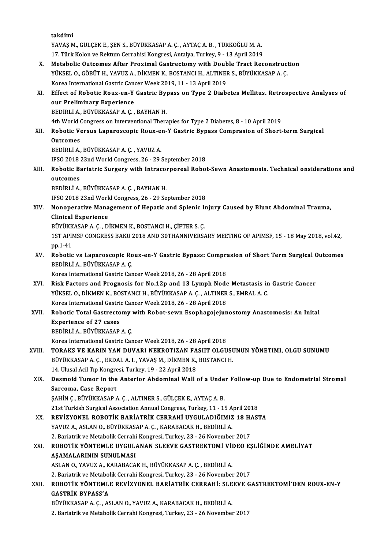takdimi takdimi<br>YAVAŞ M., GÜLÇEK E., ŞEN S., BÜYÜKKASAP A. Ç. , AYTAÇ A. B. , TÜRKOĞLU M. A.<br>17. Türk Kolon ve Pektum Cerrebisi Kongresi, Antekva Turkey, 9, , 13. Anril 2010 takdimi<br>YAVAŞ M., GÜLÇEK E., ŞEN S., BÜYÜKKASAP A. Ç. , AYTAÇ A. B. , TÜRKOĞLU M. A.<br>17. Türk Kolon ve Rektum Cerrahisi Kongresi, Antalya, Turkey, 9 - 13 April 2019<br>Matabalis Qutsamas Aftar Bravimal Castrastamu with Daubla YAVAŞ M., GÜLÇEK E., ŞEN S., BÜYÜKKASAP A. Ç. , AYTAÇ A. B. , TÜRKOĞLU M. A.<br>17. Türk Kolon ve Rektum Cerrahisi Kongresi, Antalya, Turkey, 9 - 13 April 2019<br>X. Metabolic Outcomes After Proximal Gastrectomy with Double Trac 17. Türk Kolon ve Rektum Cerrahisi Kongresi, Antalya, Turkey, 9 - 13 April 2019<br>Metabolic Outcomes After Proximal Gastrectomy with Double Tract Reconstruct<br>YÜKSEL O., GÖBÜT H., YAVUZ A., DİKMEN K., BOSTANCI H., ALTINER S., Metabolic Outcomes After Proximal Gastrectomy with Doub<br>YÜKSEL O., GÖBÜT H., YAVUZ A., DİKMEN K., BOSTANCI H., ALTINEI<br>Korea International Gastric Cancer Week 2019, 11 - 13 April 2019<br>Fffect of Bobotis Bouy on Y Castric Bu YÜKSEL O., GÖBÜT H., YAVUZ A., DİKMEN K., BOSTANCI H., ALTINER S., BÜYÜKKASAP A. Ç.<br>Korea International Gastric Cancer Week 2019, 11 - 13 April 2019<br>XI. Effect of Robotic Roux-en-Y Gastric Bypass on Type 2 Diabetes Mellitu Korea International Gastric Can<br>Effect of Robotic Roux-en-Y<br>our Preliminary Experience<br>PEDIPLLA PUVUKASARA G Effect of Robotic Roux-en-Y Gastric By<br>our Preliminary Experience<br>BEDİRLİ A., BÜYÜKKASAP A. Ç. , BAYHAN H.<br>4th World Congress on Interventional There our Preliminary Experience<br>BEDİRLİ A., BÜYÜKKASAP A. Ç. , BAYHAN H.<br>4th World Congress on Interventional Therapies for Type 2 Diabetes, 8 - 10 April 2019<br>Bebetis Versus I aparossanis Bouy an Y Castris Bunass Compresion of BEDİRLİ A., BÜYÜKKASAP A. Ç. , BAYHAN H.<br>4th World Congress on Interventional Therapies for Type 2 Diabetes, 8 - 10 April 2019<br>XII. Robotic Versus Laparoscopic Roux-en-Y Gastric Bypass Comprasion of Short-term Surgical 4th World (<br>Robotic V<br>Outcomes<br>PEDIPLIA Robotic Versus Laparoscopic Roux-e:<br>Outcomes<br>BEDİRLİ A., BÜYÜKKASAP A. Ç. , YAVUZ A.<br>IESO 2018 22nd World Congress 26 - 29 ; Outcomes<br>BEDİRLİ A., BÜYÜKKASAP A. Ç. , YAVUZ A.<br>IFSO 2018 23nd World Congress, 26 - 29 September 2018<br>Bebetis Beristris Surgery with Intreserpereal Bebet BEDİRLİ A., BÜYÜKKASAP A. Ç. , YAVUZ A.<br>IFSO 2018 23nd World Congress, 26 - 29 September 2018<br>XIII. Robotic Bariatric Surgery with Intracorporeal Robot-Sewn Anastomosis. Technical onsiderations and<br> **IFSO 2018**<br>**Robotic Band<br>outcomes**<br>PEDIPLIA Robotic Bariatric Surgery with Intracol<br>outcomes<br>BEDİRLİ A., BÜYÜKKASAP A. Ç. , BAYHAN H.<br>IESO 2019 22nd World Congress 26 - 29 Se outcomes<br>BEDİRLİ A., BÜYÜKKASAP A. Ç. , BAYHAN H.<br>IFSO 2018 23nd World Congress, 26 - 29 September 2018 BEDİRLİ A., BÜYÜKKASAP A. Ç. , BAYHAN H.<br>IFSO 2018 23nd World Congress, 26 - 29 September 2018<br>XIV. Nonoperative Management of Hepatic and Splenic Injury Caused by Blunt Abdominal Trauma,<br>Clinical Experience IFSO 2018 23nd Work<br>Nonoperative Mana<br>Clinical Experience Nonoperative Management of Hepatic and Splenic I<br>Clinical Experience<br>BÜYÜKKASAP A. Ç. , DİKMEN K., BOSTANCI H., ÇİFTER S. Ç.<br>1ST ARIMSE CONCRESS RAKU 2019 AND 20THANNIVERS. Clinical Experience<br>BÜYÜKKASAP A. Ç. , DİKMEN K., BOSTANCI H., ÇİFTER S. Ç.<br>1ST APIMSF CONGRESS BAKU 2018 AND 30THANNIVERSARY MEETING OF APIMSF, 15 - 18 May 2018, vol.42,<br>pp.1-41 BÜYÜKKASAP A. Ç., DİKMEN K., BOSTANCI H., ÇİFTER S. Ç. 1ST APIMSF CONGRESS BAKU 2018 AND 30THANNIVERSARY MEETING OF APIMSF, 15 - 18 May 2018, vol.42,<br>pp.1-41<br>XV. Robotic vs Laparoscopic Roux-en-Y Gastric Bypass: Comprasion of Short Term Surgical Outcomes<br>penipli A. PüvüvyASARA pp.1-41<br>Robotic vs Laparoscopic Ro<br>BEDİRLİ A., BÜYÜKKASAP A. Ç.<br>Korea International Castric Car Robotic vs Laparoscopic Roux-en-Y Gastric Bypass: Compra<br>BEDİRLİ A., BÜYÜKKASAP A. Ç.<br>Korea International Gastric Cancer Week 2018, 26 - 28 April 2018<br>Bisk Fostors and Prognosis for No.12n and 12.1 umph Node BEDİRLİ A., BÜYÜKKASAP A. Ç.<br>Korea International Gastric Cancer Week 2018, 26 - 28 April 2018<br>XVI. Risk Factors and Prognosis for No.12p and 13 Lymph Node Metastasis in Gastric Cancer<br>VÜKSEL O. DİKMEN K. BOSTANCLH BÜYÜKKAS Korea International Gastric Cancer Week 2018, 26 - 28 April 2018<br>Risk Factors and Prognosis for No.12p and 13 Lymph Node Metastasis in<br>YÜKSEL O., DİKMEN K., BOSTANCI H., BÜYÜKKASAP A. Ç. , ALTINER S., EMRAL A. C.<br>Korea Int Risk Factors and Prognosis for No.12p and 13 Lymph Node<br>YÜKSEL O., DİKMEN K., BOSTANCI H., BÜYÜKKASAP A. Ç. , ALTINER<br>Korea International Gastric Cancer Week 2018, 26 - 28 April 2018<br>Pobotis Total Castrostomy with Bobot so YÜKSEL O., DİKMEN K., BOSTANCI H., BÜYÜKKASAP A. Ç. , ALTINER S., EMRAL A. C.<br>Korea International Gastric Cancer Week 2018, 26 - 28 April 2018<br>XVII. Robotic Total Gastrectomy with Robot-sewn Esophagojejunostomy Anastom Korea International Gastri<br>Robotic Total Gastrecto<br>Experience of 27 cases<br>PEDiPLLA PÜVÜKKASAR BEDİRLİA.,BÜYÜKKASAPA.Ç. Korea InternationalGastricCancerWeek2018,26 -28April2018 XVIII. TORAKS VE KARIN YAN DUVARI NEKROTIZAN FASIIT OLGUSUNUN YÖNETIMI, OLGU SUNUMU Korea International Gastric Cancer Week 2018, 26 - 28 April 2018<br>**TORAKS VE KARIN YAN DUVARI NEKROTIZAN FASIIT OLGUSU**<br>BÜYÜKKASAP A. Ç. , ERDAL A. I. , YAVAŞ M., DİKMEN K., BOSTANCI H.<br>14 Hlugal Asil Tın Kongresi Turkey 19 TORAKS VE KARIN YAN DUVARI NEKROTIZAN FA<br>BÜYÜKKASAP A. Ç. , ERDAL A. I. , YAVAŞ M., DİKMEN K.,<br>14. Ulusal Acil Tıp Kongresi, Turkey, 19 - 22 April 2018<br>Desmeid Tumen in the Antonian Abdeminal Wall ( XIX. Desmoid Tumor in the Anterior Abdominal Wall of a Under Follow-up Due to Endometrial Stromal<br>Sarcoma, Case Report 14. Ulusal Acil Tıp Kongresi, Turkey, 19 - 22 April 2018 ŞAHİNÇ., BÜYÜKKASAPA.Ç., ALTINERS., GÜLÇEKE., AYTAÇA.B. 21st Turkish Surgical Association Annual Congress, Turkey, 11 - 15 April 2018 SAHİN Ç., BÜYÜKKASAP A. Ç. , ALTINER S., GÜLÇEK E., AYTAÇ A. B.<br>21st Turkish Surgical Association Annual Congress, Turkey, 11 - 15 April 2018<br>XX. REVİZYONEL ROBOTİK BARİATRİK CERRAHİ UYGULADIĞIMIZ 18 HASTA<br>XAVIIZ A. ASLAN 21st Turkish Surgical Association Annual Congress, Turkey, 11 - 15 A<br>REVİZYONEL ROBOTİK BARİATRİK CERRAHİ UYGULADIĞIMIZ<br>YAVUZ A., ASLAN O., BÜYÜKKASAP A. Ç. , KARABACAK H., BEDİRLİ A.<br>2. Bariatrik ve Metabalik Carrabi Kang REVİZYONEL ROBOTİK BARİATRİK CERRAHİ UYGULADIĞIMIZ 18 H*I*<br>YAVUZ A., ASLAN O., BÜYÜKKASAP A. Ç. , KARABACAK H., BEDİRLİ A.<br>2. Bariatrik ve Metabolik Cerrahi Kongresi, Turkey, 23 - 26 November 2017<br>BOBOTİK YÖNTEMI E UYÇULAN XXI. ROBOTİK YÖNTEMLE UYGULANAN SLEEVE GASTREKTOMİ VİDEO EŞLİĞİNDE AMELİYAT 2. Bariatrik ve Metabolik Cerrahi<br>ROBOTİK YÖNTEMLE UYGUL.<br>AŞAMALARININ SUNULMASI<br>ASLANO YAVUZ A KARARAÇA ROBOTİK YÖNTEMLE UYGULANAN SLEEVE GASTREKTOMİ VİI<br>AŞAMALARININ SUNULMASI<br>ASLAN O., YAVUZ A., KARABACAK H., BÜYÜKKASAP A. Ç. , BEDİRLİ A.<br>2. Berjatrik ve Matebolik Cerrebi Kongresi Turkev 22 - 26 Nevember AŞAMALARININ SUNULMASI<br>ASLAN O., YAVUZ A., KARABACAK H., BÜYÜKKASAP A. Ç. , BEDİRLİ A.<br>2. Bariatrik ve Metabolik Cerrahi Kongresi, Turkey, 23 - 26 November 2017 ASLAN O., YAVUZ A., KARABACAK H., BÜYÜKKASAP A. Ç. , BEDİRLİ A.<br>2. Bariatrik ve Metabolik Cerrahi Kongresi, Turkey, 23 - 26 November 2017<br>XXII. ROBOTİK YÖNTEMLE REVİZYONEL BARİATRİK CERRAHİ: SLEEVE GASTREKTOMİ'DEN ROUX 2. Bariatrik ve Metabol<br>ROBOTİK YÖNTEML<br>GASTRİK BYPASS'A<br>PÜVÜVYASAR A.C. AS ROBOTİK YÖNTEMLE REVİZYONEL BARİATRİK CERRAHİ: SLE<br>GASTRİK BYPASS'A<br>BÜYÜKKASAP A. Ç. , ASLAN O., YAVUZ A., KARABACAK H., BEDİRLİ A.<br>2. Berjetrik ve Metebelik Cerrebi Kengresi Turkey 22., 26 Nevember 6ASTRİK BYPASS'A<br>2.BÜYÜKKASAP A. Ç. , ASLAN O., YAVUZ A., KARABACAK H., BEDİRLİ A.<br>2. Bariatrik ve Metabolik Cerrahi Kongresi, Turkey, 23 - 26 November 2017